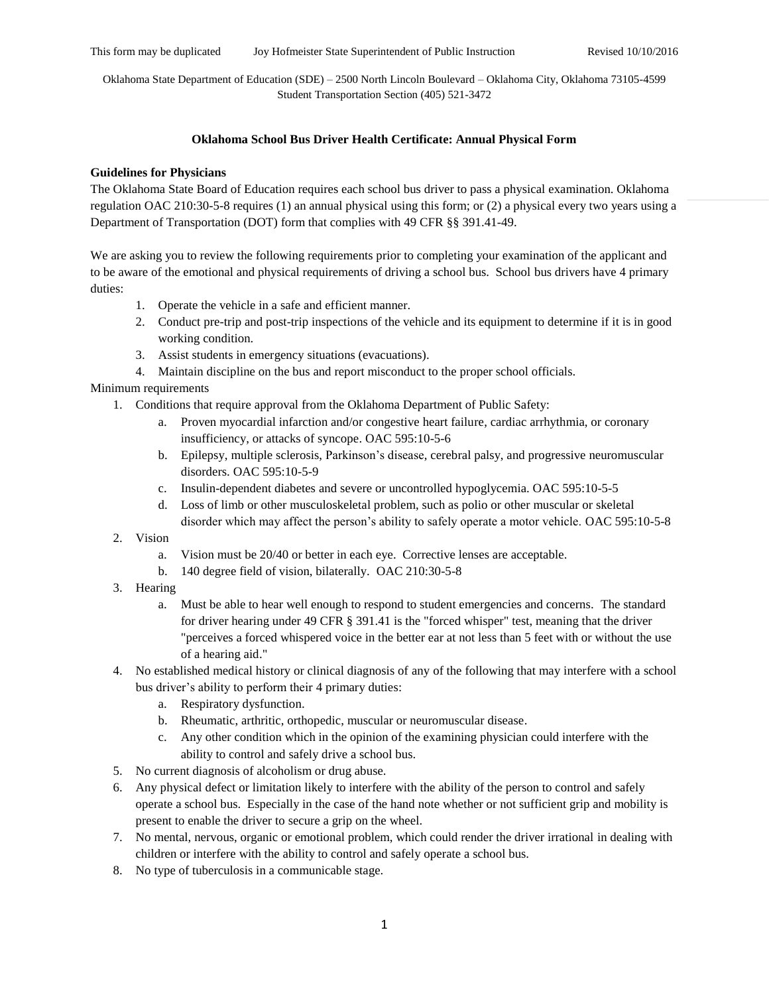This form may be duplicated Joy Hofmeister State Superintendent of Public Instruction Revised 10/10/2016

Oklahoma State Department of Education (SDE) – 2500 North Lincoln Boulevard – Oklahoma City, Oklahoma 73105-4599 Student Transportation Section (405) 521-3472

## **Oklahoma School Bus Driver Health Certificate: Annual Physical Form**

## **Guidelines for Physicians**

The Oklahoma State Board of Education requires each school bus driver to pass a physical examination. Oklahoma regulation OAC 210:30-5-8 requires (1) an annual physical using this form; or (2) a physical every two years using a Department of Transportation (DOT) form that complies with 49 CFR §§ 391.41-49.

We are asking you to review the following requirements prior to completing your examination of the applicant and to be aware of the emotional and physical requirements of driving a school bus. School bus drivers have 4 primary duties:

- 1. Operate the vehicle in a safe and efficient manner.
- 2. Conduct pre-trip and post-trip inspections of the vehicle and its equipment to determine if it is in good working condition.
- 3. Assist students in emergency situations (evacuations).
- 4. Maintain discipline on the bus and report misconduct to the proper school officials.

## Minimum requirements

- 1. Conditions that require approval from the Oklahoma Department of Public Safety:
	- a. Proven myocardial infarction and/or congestive heart failure, cardiac arrhythmia, or coronary insufficiency, or attacks of syncope. OAC 595:10-5-6
	- b. Epilepsy, multiple sclerosis, Parkinson's disease, cerebral palsy, and progressive neuromuscular disorders. OAC 595:10-5-9
	- c. Insulin-dependent diabetes and severe or uncontrolled hypoglycemia. OAC 595:10-5-5
	- d. Loss of limb or other musculoskeletal problem, such as polio or other muscular or skeletal disorder which may affect the person's ability to safely operate a motor vehicle. OAC 595:10-5-8
- 2. Vision
	- a. Vision must be 20/40 or better in each eye. Corrective lenses are acceptable.
	- b. 140 degree field of vision, bilaterally. OAC 210:30-5-8
- 3. Hearing
	- a. Must be able to hear well enough to respond to student emergencies and concerns. The standard for driver hearing under 49 CFR § 391.41 is the "forced whisper" test, meaning that the driver "perceives a forced whispered voice in the better ear at not less than 5 feet with or without the use of a hearing aid."
- 4. No established medical history or clinical diagnosis of any of the following that may interfere with a school bus driver's ability to perform their 4 primary duties:
	- a. Respiratory dysfunction.
	- b. Rheumatic, arthritic, orthopedic, muscular or neuromuscular disease.
	- c. Any other condition which in the opinion of the examining physician could interfere with the ability to control and safely drive a school bus.
- 5. No current diagnosis of alcoholism or drug abuse.
- 6. Any physical defect or limitation likely to interfere with the ability of the person to control and safely operate a school bus. Especially in the case of the hand note whether or not sufficient grip and mobility is present to enable the driver to secure a grip on the wheel.
- 7. No mental, nervous, organic or emotional problem, which could render the driver irrational in dealing with children or interfere with the ability to control and safely operate a school bus.
- 8. No type of tuberculosis in a communicable stage.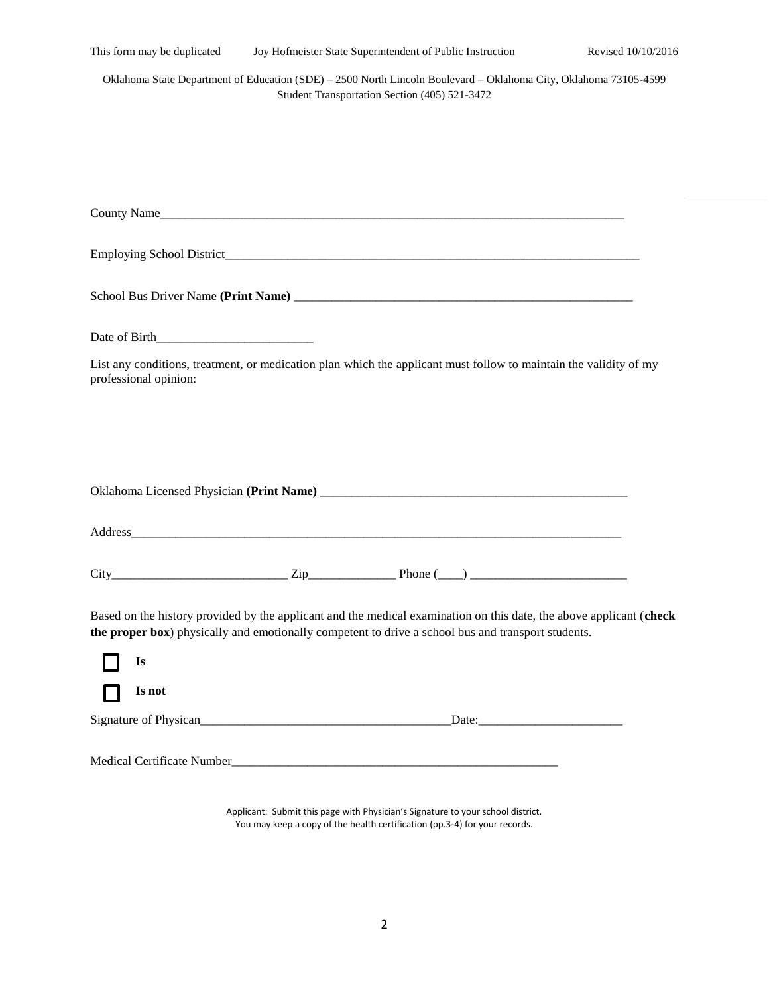| This form may be duplicated                                                                                                                                       |  | Joy Hofmeister State Superintendent of Public Instruction                                                                                                                                                                 | Revised 10/10/2016 |  |  |
|-------------------------------------------------------------------------------------------------------------------------------------------------------------------|--|---------------------------------------------------------------------------------------------------------------------------------------------------------------------------------------------------------------------------|--------------------|--|--|
| Oklahoma State Department of Education (SDE) - 2500 North Lincoln Boulevard - Oklahoma City, Oklahoma 73105-4599<br>Student Transportation Section (405) 521-3472 |  |                                                                                                                                                                                                                           |                    |  |  |
|                                                                                                                                                                   |  |                                                                                                                                                                                                                           |                    |  |  |
|                                                                                                                                                                   |  |                                                                                                                                                                                                                           |                    |  |  |
|                                                                                                                                                                   |  |                                                                                                                                                                                                                           |                    |  |  |
|                                                                                                                                                                   |  |                                                                                                                                                                                                                           |                    |  |  |
|                                                                                                                                                                   |  | County Name                                                                                                                                                                                                               |                    |  |  |
|                                                                                                                                                                   |  |                                                                                                                                                                                                                           |                    |  |  |
|                                                                                                                                                                   |  |                                                                                                                                                                                                                           |                    |  |  |
|                                                                                                                                                                   |  |                                                                                                                                                                                                                           |                    |  |  |
| Date of Birth                                                                                                                                                     |  |                                                                                                                                                                                                                           |                    |  |  |
| professional opinion:                                                                                                                                             |  | List any conditions, treatment, or medication plan which the applicant must follow to maintain the validity of my                                                                                                         |                    |  |  |
|                                                                                                                                                                   |  |                                                                                                                                                                                                                           |                    |  |  |
|                                                                                                                                                                   |  |                                                                                                                                                                                                                           |                    |  |  |
|                                                                                                                                                                   |  |                                                                                                                                                                                                                           |                    |  |  |
|                                                                                                                                                                   |  |                                                                                                                                                                                                                           |                    |  |  |
|                                                                                                                                                                   |  |                                                                                                                                                                                                                           |                    |  |  |
|                                                                                                                                                                   |  |                                                                                                                                                                                                                           |                    |  |  |
|                                                                                                                                                                   |  |                                                                                                                                                                                                                           |                    |  |  |
|                                                                                                                                                                   |  | $City$ Phone $(\_\_)$                                                                                                                                                                                                     |                    |  |  |
|                                                                                                                                                                   |  | Based on the history provided by the applicant and the medical examination on this date, the above applicant (check<br>the proper box) physically and emotionally competent to drive a school bus and transport students. |                    |  |  |
| Is                                                                                                                                                                |  |                                                                                                                                                                                                                           |                    |  |  |
| Is not                                                                                                                                                            |  |                                                                                                                                                                                                                           |                    |  |  |
|                                                                                                                                                                   |  |                                                                                                                                                                                                                           |                    |  |  |
|                                                                                                                                                                   |  |                                                                                                                                                                                                                           |                    |  |  |
|                                                                                                                                                                   |  |                                                                                                                                                                                                                           |                    |  |  |
|                                                                                                                                                                   |  |                                                                                                                                                                                                                           |                    |  |  |

Applicant: Submit this page with Physician's Signature to your school district. You may keep a copy of the health certification (pp.3-4) for your records.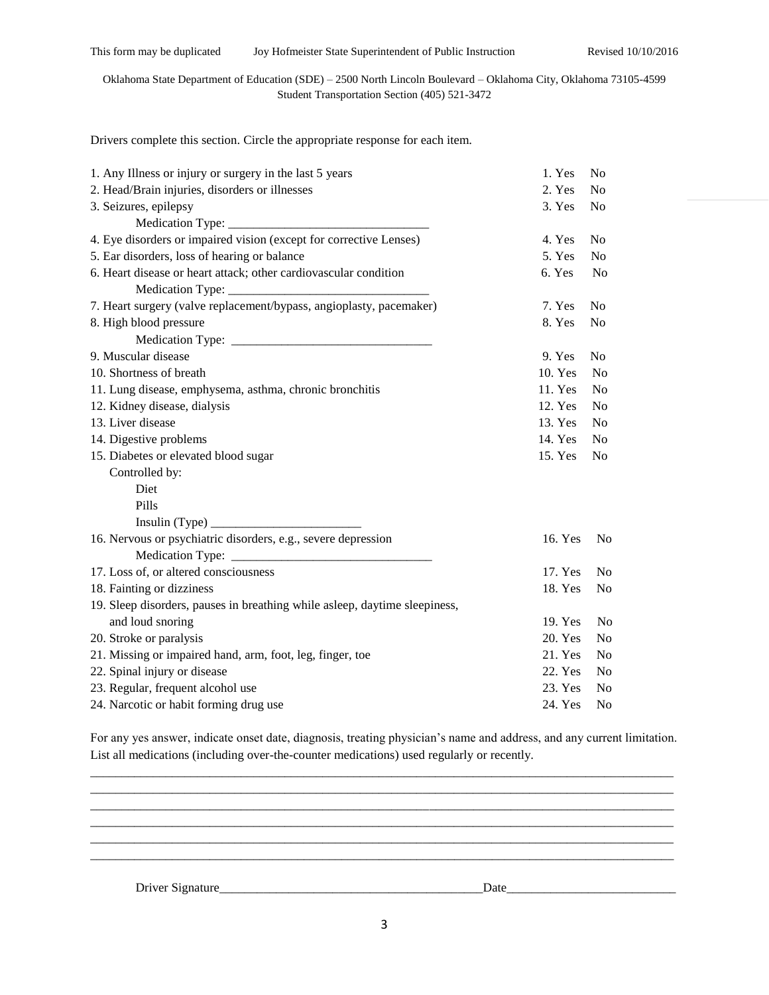## Oklahoma State Department of Education (SDE) – 2500 North Lincoln Boulevard – Oklahoma City, Oklahoma 73105-4599 Student Transportation Section (405) 521-3472

Drivers complete this section. Circle the appropriate response for each item.

| 1. Any Illness or injury or surgery in the last 5 years                    | 1. Yes  | No             |
|----------------------------------------------------------------------------|---------|----------------|
| 2. Head/Brain injuries, disorders or illnesses                             | 2. Yes  | No             |
| 3. Seizures, epilepsy                                                      | 3. Yes  | No             |
|                                                                            |         |                |
| 4. Eye disorders or impaired vision (except for corrective Lenses)         | 4. Yes  | No             |
| 5. Ear disorders, loss of hearing or balance                               | 5. Yes  | N <sub>o</sub> |
| 6. Heart disease or heart attack; other cardiovascular condition           | 6. Yes  | N <sub>o</sub> |
|                                                                            |         |                |
| 7. Heart surgery (valve replacement/bypass, angioplasty, pacemaker)        | 7. Yes  | N <sub>o</sub> |
| 8. High blood pressure                                                     | 8. Yes  | No             |
|                                                                            |         |                |
| 9. Muscular disease                                                        | 9. Yes  | N <sub>0</sub> |
| 10. Shortness of breath                                                    | 10. Yes | N <sub>0</sub> |
| 11. Lung disease, emphysema, asthma, chronic bronchitis                    | 11. Yes | N <sub>0</sub> |
| 12. Kidney disease, dialysis                                               | 12. Yes | N <sub>0</sub> |
| 13. Liver disease                                                          | 13. Yes | N <sub>0</sub> |
| 14. Digestive problems                                                     | 14. Yes | N <sub>0</sub> |
| 15. Diabetes or elevated blood sugar                                       | 15. Yes | N <sub>0</sub> |
| Controlled by:                                                             |         |                |
| Diet                                                                       |         |                |
| Pills                                                                      |         |                |
| Insulin (Type)                                                             |         |                |
| 16. Nervous or psychiatric disorders, e.g., severe depression              | 16. Yes | N <sub>0</sub> |
|                                                                            |         |                |
| 17. Loss of, or altered consciousness                                      | 17. Yes | N <sub>0</sub> |
| 18. Fainting or dizziness                                                  | 18. Yes | No             |
| 19. Sleep disorders, pauses in breathing while asleep, daytime sleepiness, |         |                |
| and loud snoring                                                           | 19. Yes | No             |
| 20. Stroke or paralysis                                                    | 20. Yes | No             |
| 21. Missing or impaired hand, arm, foot, leg, finger, toe                  | 21. Yes | No             |
| 22. Spinal injury or disease                                               | 22. Yes | N <sub>o</sub> |
| 23. Regular, frequent alcohol use                                          | 23. Yes | No             |
| 24. Narcotic or habit forming drug use                                     | 24. Yes | No             |

For any yes answer, indicate onset date, diagnosis, treating physician's name and address, and any current limitation. List all medications (including over-the-counter medications) used regularly or recently.  $\_$  ,  $\_$  ,  $\_$  ,  $\_$  ,  $\_$  ,  $\_$  ,  $\_$  ,  $\_$  ,  $\_$  ,  $\_$  ,  $\_$  ,  $\_$  ,  $\_$  ,  $\_$  ,  $\_$  ,  $\_$  ,  $\_$  ,  $\_$  ,  $\_$  ,  $\_$  ,  $\_$  ,  $\_$  ,  $\_$  ,  $\_$  ,  $\_$  ,  $\_$  ,  $\_$  ,  $\_$  ,  $\_$  ,  $\_$  ,  $\_$  ,  $\_$  ,  $\_$  ,  $\_$  ,  $\_$  ,  $\_$  ,  $\_$  ,

\_\_\_\_\_\_\_\_\_\_\_\_\_\_\_\_\_\_\_\_\_\_\_\_\_\_\_\_\_\_\_\_\_\_\_\_\_\_\_\_\_\_\_\_\_\_\_\_\_\_\_\_\_\_\_\_\_\_\_\_\_\_\_\_\_\_\_\_\_\_\_\_\_\_\_\_\_\_\_\_\_\_\_\_\_\_\_\_\_\_\_\_\_ \_\_\_\_\_\_\_\_\_\_\_\_\_\_\_\_\_\_\_\_\_\_\_\_\_\_\_\_\_\_\_\_\_\_\_\_\_\_\_\_\_\_\_\_\_\_\_\_\_\_\_\_\_\_\_\_\_\_\_\_\_\_\_\_\_\_\_\_\_\_\_\_\_\_\_\_\_\_\_\_\_\_\_\_\_\_\_\_\_\_\_\_\_

\_\_\_\_\_\_\_\_\_\_\_\_\_\_\_\_\_\_\_\_\_\_\_\_\_\_\_\_\_\_\_\_\_\_\_\_\_\_\_\_\_\_\_\_\_\_\_\_\_\_\_\_\_\_\_\_\_\_\_\_\_\_\_\_\_\_\_\_\_\_\_\_\_\_\_\_\_\_\_\_\_\_\_\_\_\_\_\_\_\_\_\_\_

Driver Signature\_\_\_\_\_\_\_\_\_\_\_\_\_\_\_\_\_\_\_\_\_\_\_\_\_\_\_\_\_\_\_\_\_\_\_\_\_\_\_\_\_\_Date\_\_\_\_\_\_\_\_\_\_\_\_\_\_\_\_\_\_\_\_\_\_\_\_\_\_\_